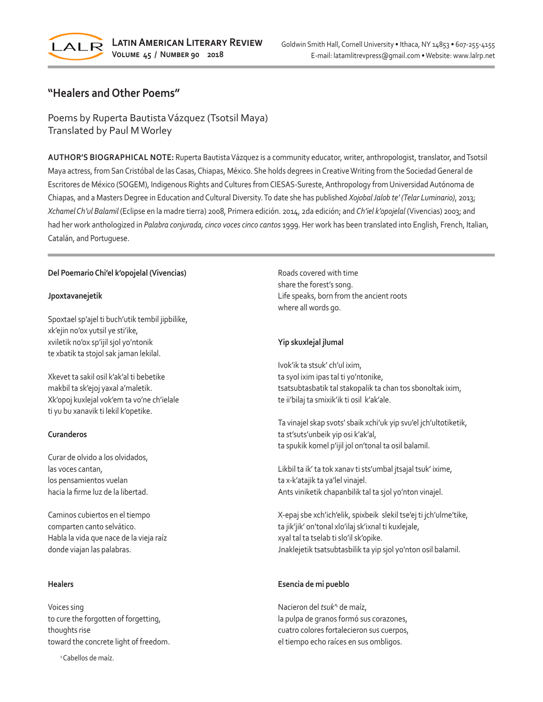

# **"Healers and Other Poems"**

Poems by Ruperta Bautista Vázquez (Tsotsil Maya) Translated by Paul M Worley

**AUTHOR'S BIOGRAPHICAL NOTE:** Ruperta Bautista Vázquez is a community educator, writer, anthropologist, translator, and Tsotsil Maya actress, from San Cristóbal de las Casas, Chiapas, México. She holds degrees in Creative Writing from the Sociedad General de Escritores de México (SOGEM), Indigenous Rights and Cultures from CIESAS-Sureste, Anthropology from Universidad Autónoma de Chiapas, and a Masters Degree in Education and Cultural Diversity. To date she has published *Xojobal Jalob te' (Telar Luminario)*, 2013; *Xchamel Ch'ul Balamil* (Eclipse en la madre tierra) 2008, Primera edición. 2014, 2da edición; and *Ch'iel k'opojelal* (Vivencias) 2003; and had her work anthologized in *Palabra conjurada, cinco voces cinco cantos* 1999. Her work has been translated into English, French, Italian, Catalán, and Portuguese.

# **Del Poemario Chi'el k'opojelal (Vivencias)**

# **Jpoxtavanejetik**

Spoxtael sp'ajel ti buch'utik tembil jipbilike, xk'ejin no'ox yutsil ye sti'ike, xviletik no'ox sp'ijil sjol yo'ntonik te xbatik ta stojol sak jaman lekilal.

Xkevet ta sakil osil k'ak'al ti bebetike makbil ta sk'ejoj yaxal a'maletik. Xk'opoj kuxlejal vok'em ta vo'ne ch'ielale ti yu bu xanavik ti lekil k'opetike.

# **Curanderos**

Curar de olvido a los olvidados, las voces cantan, los pensamientos vuelan hacia la firme luz de la libertad.

Caminos cubiertos en el tiempo comparten canto selvático. Habla la vida que nace de la vieja raíz donde viajan las palabras.

## **Healers**

Voices sing to cure the forgotten of forgetting, thoughts rise toward the concrete light of freedom.

<sup>1</sup> Cabellos de maíz.

Roads covered with time share the forest's song. Life speaks, born from the ancient roots where all words go.

# **Yip skuxlejal jlumal**

Ivok'ik ta stsuk' ch'ul ixim, ta syol ixim ipas tal ti yo'ntonike, tsatsubtasbatik tal stakopalik ta chan tos sbonoltak ixim, te ii'bilaj ta smixik'ik ti osil k'ak'ale.

Ta vinajel skap svots' sbaik xchi'uk yip svu'el jch'ultotiketik, ta st'suts'unbeik yip osi k'ak'al, ta spukik komel p'ijil jol on'tonal ta osil balamil.

Likbil ta ik' ta tok xanav ti sts'umbal jtsajal tsuk' ixime, ta x-k'atajik ta ya'lel vinajel. Ants viniketik chapanbilik tal ta sjol yo'nton vinajel.

X-epaj sbe xch'ich'elik, spixbeik slekil tse'ej ti jch'ulme'tike, ta jik'jik' on'tonal xlo'ilaj sk'ixnal ti kuxlejale, xyal tal ta tselab ti slo'il sk'opike. Jnaklejetik tsatsubtasbilik ta yip sjol yo'nton osil balamil.

# **Esencia de mi pueblo**

Nacieron del *tsuk'*<sup>1</sup> de maíz, la pulpa de granos formó sus corazones, cuatro colores fortalecieron sus cuerpos, el tiempo echo raíces en sus ombligos.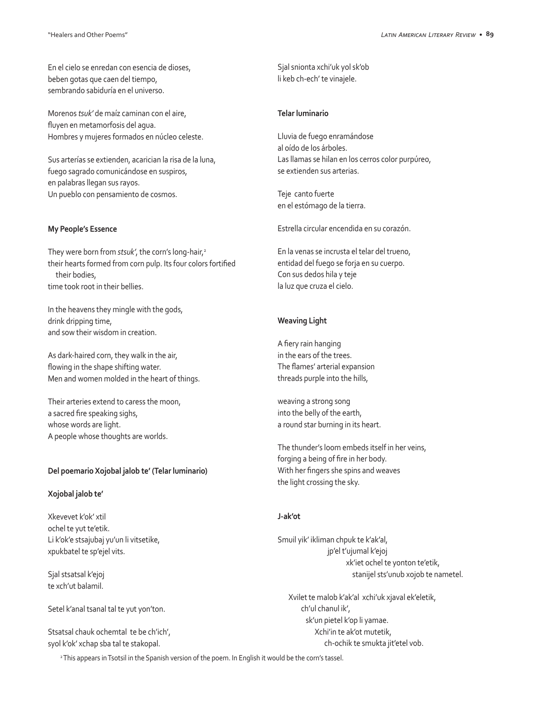En el cielo se enredan con esencia de dioses, beben gotas que caen del tiempo, sembrando sabiduría en el universo.

Morenos *tsuk'* de maíz caminan con el aire, fluyen en metamorfosis del agua. Hombres y mujeres formados en núcleo celeste.

Sus arterías se extienden, acarician la risa de la luna, fuego sagrado comunicándose en suspiros, en palabras llegan sus rayos. Un pueblo con pensamiento de cosmos.

## **My People's Essence**

They were born from *stsuk'*, the corn's long-hair,<sup>2</sup> their hearts formed from corn pulp. Its four colors fortified their bodies, time took root in their bellies.

In the heavens they mingle with the gods, drink dripping time, and sow their wisdom in creation.

As dark-haired corn, they walk in the air, flowing in the shape shifting water. Men and women molded in the heart of things.

Their arteries extend to caress the moon, a sacred fire speaking sighs, whose words are light. A people whose thoughts are worlds.

# **Del poemario Xojobal jalob te' (Telar luminario)**

#### **Xojobal jalob te'**

Xkevevet k'ok' xtil ochel te yut te'etik. Li k'ok'e stsajubaj yu'un li vitsetike, xpukbatel te sp'ejel vits.

Sjal stsatsal k'ejoj te xch'ut balamil.

Setel k'anal tsanal tal te yut yon'ton.

Stsatsal chauk ochemtal te be ch'ich', syol k'ok' xchap sba tal te stakopal.

Sjal snionta xchi'uk yol sk'ob li keb ch-ech' te vinajele.

#### **Telar luminario**

Lluvia de fuego enramándose al oído de los árboles. Las llamas se hilan en los cerros color purpúreo, se extienden sus arterias.

Teje canto fuerte en el estómago de la tierra.

Estrella circular encendida en su corazón.

En la venas se incrusta el telar del trueno, entidad del fuego se forja en su cuerpo. Con sus dedos hila y teje la luz que cruza el cielo.

# **Weaving Light**

A fiery rain hanging in the ears of the trees. The flames' arterial expansion threads purple into the hills,

weaving a strong song into the belly of the earth, a round star burning in its heart.

The thunder's loom embeds itself in her veins, forging a being of fire in her body. With her fingers she spins and weaves the light crossing the sky.

## **J-ak'ot**

Smuil yik' ikliman chpuk te k'ak'al, jp'el t'ujumal k'ejoj xk'iet ochel te yonton te'etik, stanijel sts'unub xojob te nametel.

 Xvilet te malob k'ak'al xchi'uk xjaval ek'eletik, ch'ul chanul ik', sk'un pietel k'op li yamae. Xchi'in te ak'ot mutetik, ch-ochik te smukta jit'etel vob.

<sup>2</sup> This appears in Tsotsil in the Spanish version of the poem. In English it would be the corn's tassel.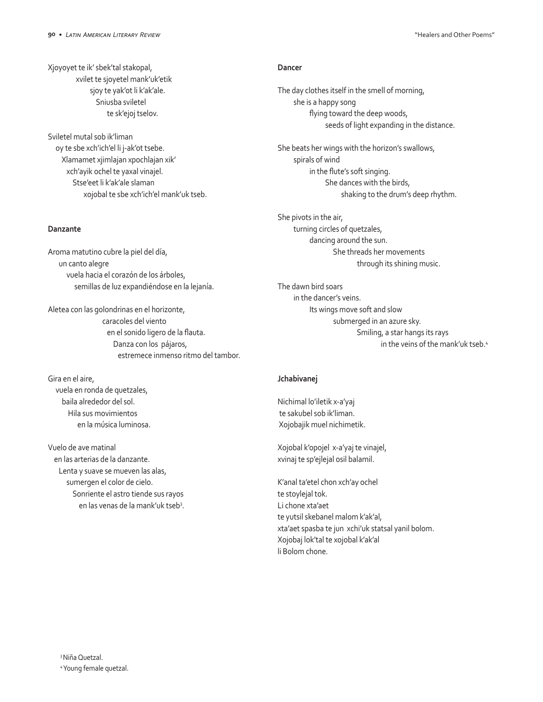Xjoyoyet te ik' sbek'tal stakopal, xvilet te sjoyetel mank'uk'etik sjoy te yak'ot li k'ak'ale. Sniusba sviletel te sk'ejoj tselov.

Sviletel mutal sob ik'liman oy te sbe xch'ich'el li j-ak'ot tsebe. Xlamamet xjimlajan xpochlajan xik' xch'ayik ochel te yaxal vinajel. Stse'eet li k'ak'ale slaman xojobal te sbe xch'ich'el mank'uk tseb.

## **Danzante**

Aroma matutino cubre la piel del día, un canto alegre vuela hacia el corazón de los árboles, semillas de luz expandiéndose en la lejanía.

Aletea con las golondrinas en el horizonte, caracoles del viento en el sonido ligero de la flauta. Danza con los pájaros, estremece inmenso ritmo del tambor.

Gira en el aire, vuela en ronda de quetzales, baila alrededor del sol. Hila sus movimientos en la música luminosa.

Vuelo de ave matinal en las arterias de la danzante. Lenta y suave se mueven las alas, sumergen el color de cielo. Sonriente el astro tiende sus rayos en las venas de la mank'uk tseb<sup>3</sup>.

## **Dancer**

The day clothes itself in the smell of morning, she is a happy song flying toward the deep woods, seeds of light expanding in the distance.

She beats her wings with the horizon's swallows, spirals of wind in the flute's soft singing. She dances with the birds, shaking to the drum's deep rhythm.

She pivots in the air, turning circles of quetzales, dancing around the sun. She threads her movements through its shining music.

The dawn bird soars in the dancer's veins. Its wings move soft and slow submerged in an azure sky. Smiling, a star hangs its rays in the veins of the mank'uk tseb.<sup>4</sup>

# **Jchabivanej**

Nichimal lo'iletik x-a'yaj te sakubel sob ik'liman. Xojobajik muel nichimetik.

Xojobal k'opojel x-a'yaj te vinajel, xvinaj te sp'ejlejal osil balamil.

K'anal ta'etel chon xch'ay ochel te stoylejal tok. Li chone xta'aet te yutsil skebanel malom k'ak'al, xta'aet spasba te jun xchi'uk statsal yanil bolom. Xojobaj lok'tal te xojobal k'ak'al li Bolom chone.